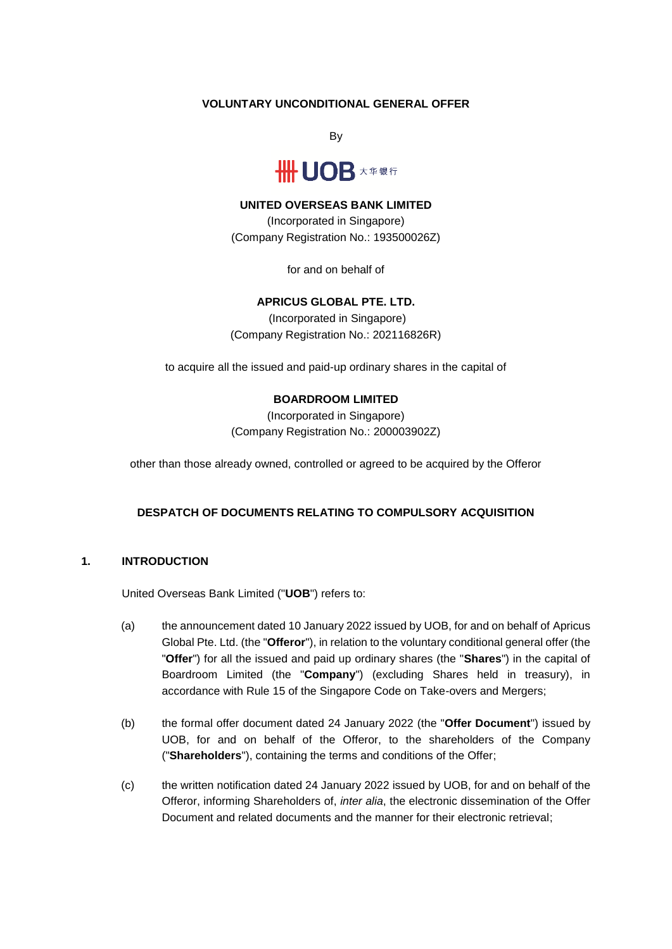## **VOLUNTARY UNCONDITIONAL GENERAL OFFER**

By



### **UNITED OVERSEAS BANK LIMITED**

(Incorporated in Singapore) (Company Registration No.: 193500026Z)

for and on behalf of

## **APRICUS GLOBAL PTE. LTD.**

(Incorporated in Singapore) (Company Registration No.: 202116826R)

to acquire all the issued and paid-up ordinary shares in the capital of

## **BOARDROOM LIMITED**

(Incorporated in Singapore) (Company Registration No.: 200003902Z)

other than those already owned, controlled or agreed to be acquired by the Offeror

## **DESPATCH OF DOCUMENTS RELATING TO COMPULSORY ACQUISITION**

## **1. INTRODUCTION**

United Overseas Bank Limited ("**UOB**") refers to:

- (a) the announcement dated 10 January 2022 issued by UOB, for and on behalf of Apricus Global Pte. Ltd. (the "**Offeror**"), in relation to the voluntary conditional general offer (the "**Offer**") for all the issued and paid up ordinary shares (the "**Shares**") in the capital of Boardroom Limited (the "**Company**") (excluding Shares held in treasury), in accordance with Rule 15 of the Singapore Code on Take-overs and Mergers;
- (b) the formal offer document dated 24 January 2022 (the "**Offer Document**") issued by UOB, for and on behalf of the Offeror, to the shareholders of the Company ("**Shareholders**"), containing the terms and conditions of the Offer;
- (c) the written notification dated 24 January 2022 issued by UOB, for and on behalf of the Offeror, informing Shareholders of, *inter alia*, the electronic dissemination of the Offer Document and related documents and the manner for their electronic retrieval;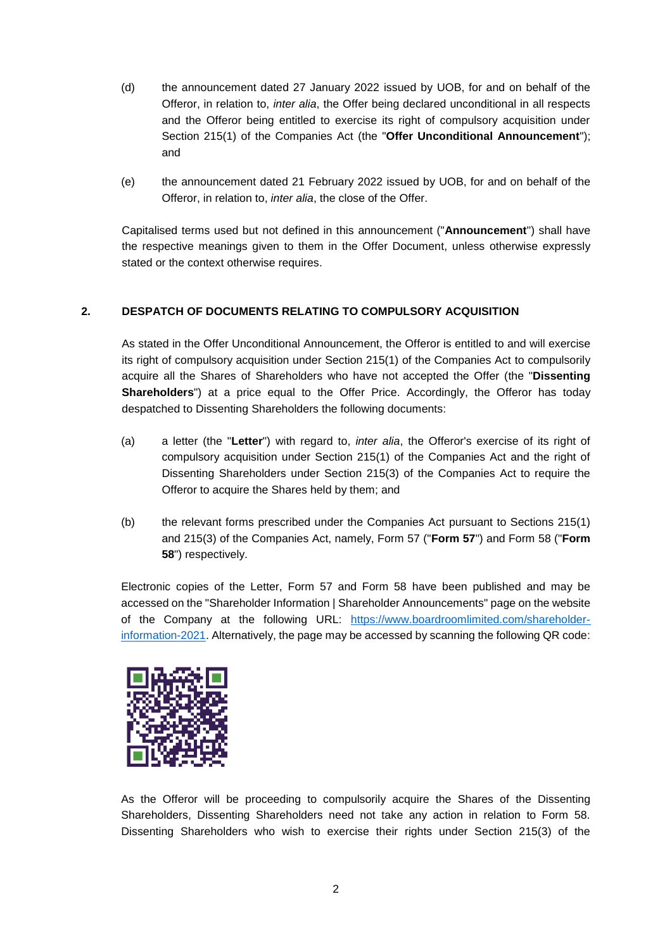- (d) the announcement dated 27 January 2022 issued by UOB, for and on behalf of the Offeror, in relation to, *inter alia*, the Offer being declared unconditional in all respects and the Offeror being entitled to exercise its right of compulsory acquisition under Section 215(1) of the Companies Act (the "**Offer Unconditional Announcement**"); and
- (e) the announcement dated 21 February 2022 issued by UOB, for and on behalf of the Offeror, in relation to, *inter alia*, the close of the Offer.

Capitalised terms used but not defined in this announcement ("**Announcement**") shall have the respective meanings given to them in the Offer Document, unless otherwise expressly stated or the context otherwise requires.

# **2. DESPATCH OF DOCUMENTS RELATING TO COMPULSORY ACQUISITION**

As stated in the Offer Unconditional Announcement, the Offeror is entitled to and will exercise its right of compulsory acquisition under Section 215(1) of the Companies Act to compulsorily acquire all the Shares of Shareholders who have not accepted the Offer (the "**Dissenting Shareholders**") at a price equal to the Offer Price. Accordingly, the Offeror has today despatched to Dissenting Shareholders the following documents:

- (a) a letter (the "**Letter**") with regard to, *inter alia*, the Offeror's exercise of its right of compulsory acquisition under Section 215(1) of the Companies Act and the right of Dissenting Shareholders under Section 215(3) of the Companies Act to require the Offeror to acquire the Shares held by them; and
- (b) the relevant forms prescribed under the Companies Act pursuant to Sections 215(1) and 215(3) of the Companies Act, namely, Form 57 ("**Form 57**") and Form 58 ("**Form 58**") respectively.

Electronic copies of the Letter, Form 57 and Form 58 have been published and may be accessed on the "Shareholder Information | Shareholder Announcements" page on the website of the Company at the following URL: [https://www.boardroomlimited.com/shareholder](https://www.boardroomlimited.com/shareholder-information-2021)[information-2021.](https://www.boardroomlimited.com/shareholder-information-2021) Alternatively, the page may be accessed by scanning the following QR code:



As the Offeror will be proceeding to compulsorily acquire the Shares of the Dissenting Shareholders, Dissenting Shareholders need not take any action in relation to Form 58. Dissenting Shareholders who wish to exercise their rights under Section 215(3) of the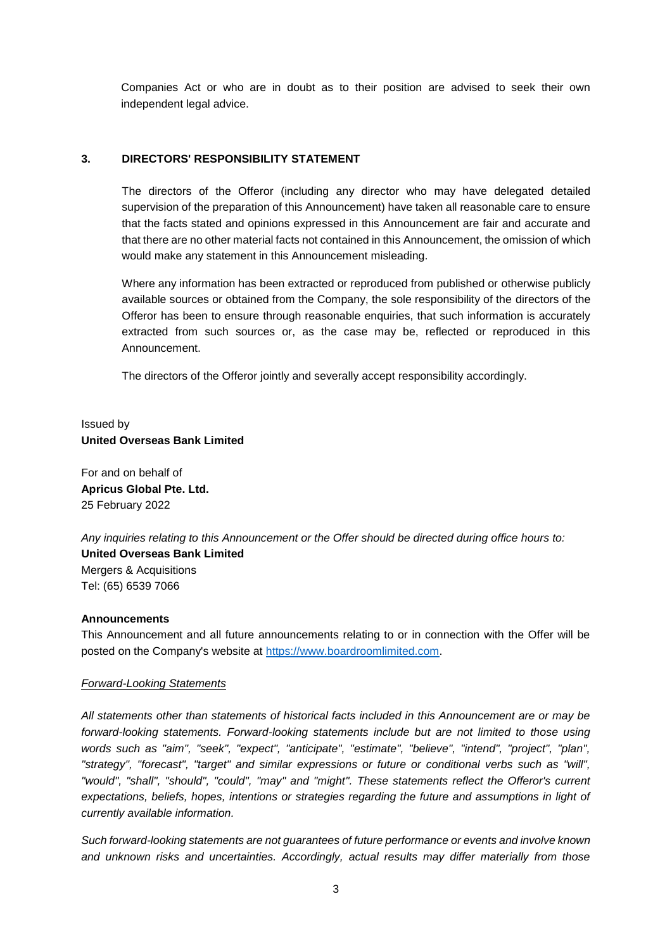Companies Act or who are in doubt as to their position are advised to seek their own independent legal advice.

## **3. DIRECTORS' RESPONSIBILITY STATEMENT**

The directors of the Offeror (including any director who may have delegated detailed supervision of the preparation of this Announcement) have taken all reasonable care to ensure that the facts stated and opinions expressed in this Announcement are fair and accurate and that there are no other material facts not contained in this Announcement, the omission of which would make any statement in this Announcement misleading.

Where any information has been extracted or reproduced from published or otherwise publicly available sources or obtained from the Company, the sole responsibility of the directors of the Offeror has been to ensure through reasonable enquiries, that such information is accurately extracted from such sources or, as the case may be, reflected or reproduced in this Announcement.

The directors of the Offeror jointly and severally accept responsibility accordingly.

# Issued by **United Overseas Bank Limited**

For and on behalf of **Apricus Global Pte. Ltd.** 25 February 2022

*Any inquiries relating to this Announcement or the Offer should be directed during office hours to:* **United Overseas Bank Limited** Mergers & Acquisitions Tel: (65) 6539 7066

### **Announcements**

This Announcement and all future announcements relating to or in connection with the Offer will be posted on the Company's website at [https://www.boardroomlimited.com.](https://www.boardroomlimited.com/)

### *Forward-Looking Statements*

*All statements other than statements of historical facts included in this Announcement are or may be forward-looking statements. Forward-looking statements include but are not limited to those using words such as "aim", "seek", "expect", "anticipate", "estimate", "believe", "intend", "project", "plan", "strategy", "forecast", "target" and similar expressions or future or conditional verbs such as "will", "would", "shall", "should", "could", "may" and "might". These statements reflect the Offeror's current expectations, beliefs, hopes, intentions or strategies regarding the future and assumptions in light of currently available information.*

*Such forward-looking statements are not guarantees of future performance or events and involve known and unknown risks and uncertainties. Accordingly, actual results may differ materially from those*